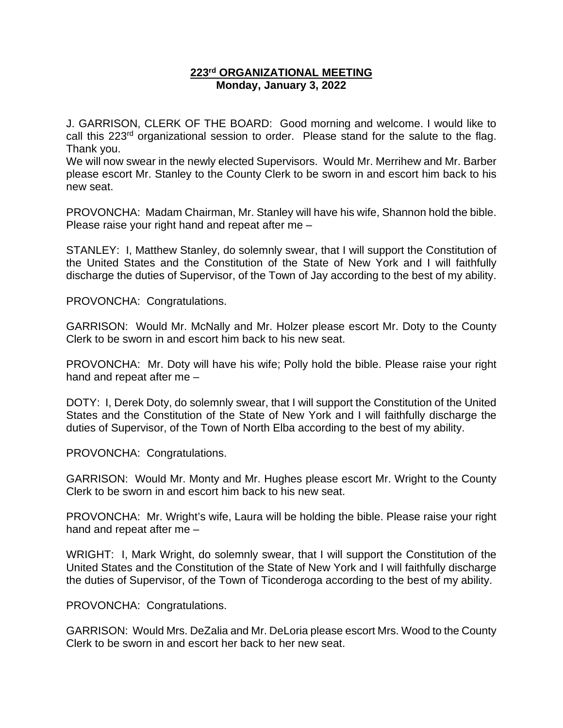### **223rd ORGANIZATIONAL MEETING Monday, January 3, 2022**

J. GARRISON, CLERK OF THE BOARD: Good morning and welcome. I would like to call this 223<sup>rd</sup> organizational session to order. Please stand for the salute to the flag. Thank you.

We will now swear in the newly elected Supervisors. Would Mr. Merrihew and Mr. Barber please escort Mr. Stanley to the County Clerk to be sworn in and escort him back to his new seat.

PROVONCHA: Madam Chairman, Mr. Stanley will have his wife, Shannon hold the bible. Please raise your right hand and repeat after me –

STANLEY: I, Matthew Stanley, do solemnly swear, that I will support the Constitution of the United States and the Constitution of the State of New York and I will faithfully discharge the duties of Supervisor, of the Town of Jay according to the best of my ability.

PROVONCHA: Congratulations.

GARRISON: Would Mr. McNally and Mr. Holzer please escort Mr. Doty to the County Clerk to be sworn in and escort him back to his new seat.

PROVONCHA: Mr. Doty will have his wife; Polly hold the bible. Please raise your right hand and repeat after me –

DOTY: I, Derek Doty, do solemnly swear, that I will support the Constitution of the United States and the Constitution of the State of New York and I will faithfully discharge the duties of Supervisor, of the Town of North Elba according to the best of my ability.

PROVONCHA: Congratulations.

GARRISON: Would Mr. Monty and Mr. Hughes please escort Mr. Wright to the County Clerk to be sworn in and escort him back to his new seat.

PROVONCHA: Mr. Wright's wife, Laura will be holding the bible. Please raise your right hand and repeat after me –

WRIGHT: I, Mark Wright, do solemnly swear, that I will support the Constitution of the United States and the Constitution of the State of New York and I will faithfully discharge the duties of Supervisor, of the Town of Ticonderoga according to the best of my ability.

PROVONCHA: Congratulations.

GARRISON: Would Mrs. DeZalia and Mr. DeLoria please escort Mrs. Wood to the County Clerk to be sworn in and escort her back to her new seat.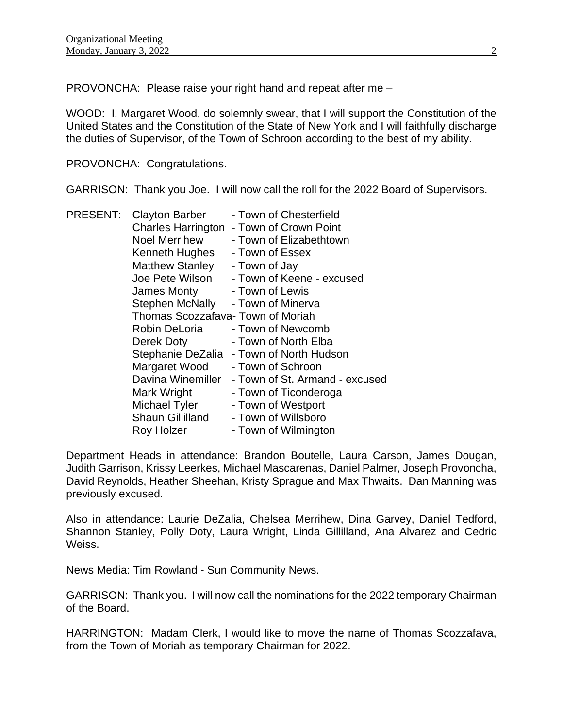PROVONCHA: Please raise your right hand and repeat after me –

WOOD: I, Margaret Wood, do solemnly swear, that I will support the Constitution of the United States and the Constitution of the State of New York and I will faithfully discharge the duties of Supervisor, of the Town of Schroon according to the best of my ability.

PROVONCHA: Congratulations.

GARRISON: Thank you Joe. I will now call the roll for the 2022 Board of Supervisors.

| <b>PRESENT:</b> | <b>Clayton Barber</b>            | - Town of Chesterfield         |
|-----------------|----------------------------------|--------------------------------|
|                 | <b>Charles Harrington</b>        | - Town of Crown Point          |
|                 | <b>Noel Merrihew</b>             | - Town of Elizabethtown        |
|                 | Kenneth Hughes                   | - Town of Essex                |
|                 | <b>Matthew Stanley</b>           | - Town of Jay                  |
|                 | Joe Pete Wilson                  | - Town of Keene - excused      |
|                 | James Monty                      | - Town of Lewis                |
|                 | Stephen McNally                  | - Town of Minerva              |
|                 | Thomas Scozzafava-Town of Moriah |                                |
|                 | Robin DeLoria                    | - Town of Newcomb              |
|                 | Derek Doty                       | - Town of North Elba           |
|                 | Stephanie DeZalia                | - Town of North Hudson         |
|                 | Margaret Wood                    | - Town of Schroon              |
|                 | Davina Winemiller                | - Town of St. Armand - excused |
|                 | Mark Wright                      | - Town of Ticonderoga          |
|                 | Michael Tyler                    | - Town of Westport             |
|                 | <b>Shaun Gillilland</b>          | - Town of Willsboro            |
|                 | Roy Holzer                       | - Town of Wilmington           |

Department Heads in attendance: Brandon Boutelle, Laura Carson, James Dougan, Judith Garrison, Krissy Leerkes, Michael Mascarenas, Daniel Palmer, Joseph Provoncha, David Reynolds, Heather Sheehan, Kristy Sprague and Max Thwaits. Dan Manning was previously excused.

Also in attendance: Laurie DeZalia, Chelsea Merrihew, Dina Garvey, Daniel Tedford, Shannon Stanley, Polly Doty, Laura Wright, Linda Gillilland, Ana Alvarez and Cedric Weiss.

News Media: Tim Rowland - Sun Community News.

GARRISON: Thank you. I will now call the nominations for the 2022 temporary Chairman of the Board.

HARRINGTON: Madam Clerk, I would like to move the name of Thomas Scozzafava, from the Town of Moriah as temporary Chairman for 2022.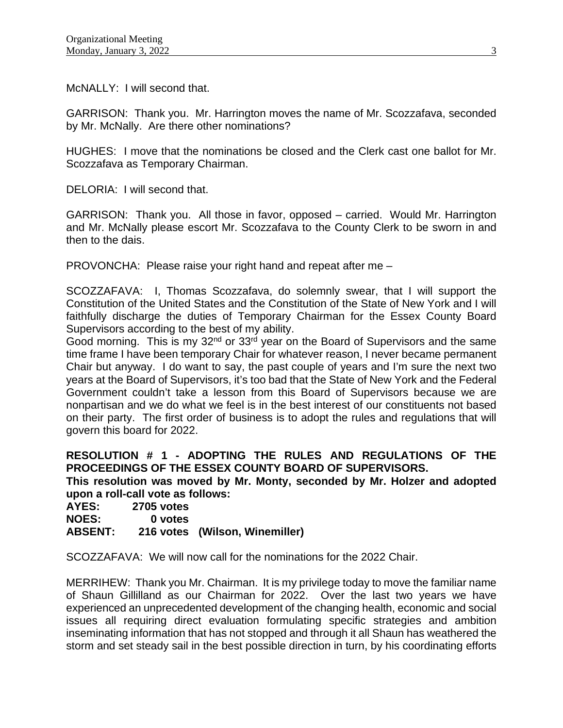McNALLY: I will second that.

GARRISON: Thank you. Mr. Harrington moves the name of Mr. Scozzafava, seconded by Mr. McNally. Are there other nominations?

HUGHES: I move that the nominations be closed and the Clerk cast one ballot for Mr. Scozzafava as Temporary Chairman.

DELORIA: I will second that.

GARRISON: Thank you. All those in favor, opposed – carried. Would Mr. Harrington and Mr. McNally please escort Mr. Scozzafava to the County Clerk to be sworn in and then to the dais.

PROVONCHA: Please raise your right hand and repeat after me –

SCOZZAFAVA: I, Thomas Scozzafava, do solemnly swear, that I will support the Constitution of the United States and the Constitution of the State of New York and I will faithfully discharge the duties of Temporary Chairman for the Essex County Board Supervisors according to the best of my ability.

Good morning. This is my  $32<sup>nd</sup>$  or  $33<sup>rd</sup>$  year on the Board of Supervisors and the same time frame I have been temporary Chair for whatever reason, I never became permanent Chair but anyway. I do want to say, the past couple of years and I'm sure the next two years at the Board of Supervisors, it's too bad that the State of New York and the Federal Government couldn't take a lesson from this Board of Supervisors because we are nonpartisan and we do what we feel is in the best interest of our constituents not based on their party. The first order of business is to adopt the rules and regulations that will govern this board for 2022.

**RESOLUTION # 1 - ADOPTING THE RULES AND REGULATIONS OF THE PROCEEDINGS OF THE ESSEX COUNTY BOARD OF SUPERVISORS.** 

**This resolution was moved by Mr. Monty, seconded by Mr. Holzer and adopted upon a roll-call vote as follows:** 

**AYES: 2705 votes NOES: 0 votes ABSENT: 216 votes (Wilson, Winemiller)**

SCOZZAFAVA: We will now call for the nominations for the 2022 Chair.

MERRIHEW: Thank you Mr. Chairman. It is my privilege today to move the familiar name of Shaun Gillilland as our Chairman for 2022. Over the last two years we have experienced an unprecedented development of the changing health, economic and social issues all requiring direct evaluation formulating specific strategies and ambition inseminating information that has not stopped and through it all Shaun has weathered the storm and set steady sail in the best possible direction in turn, by his coordinating efforts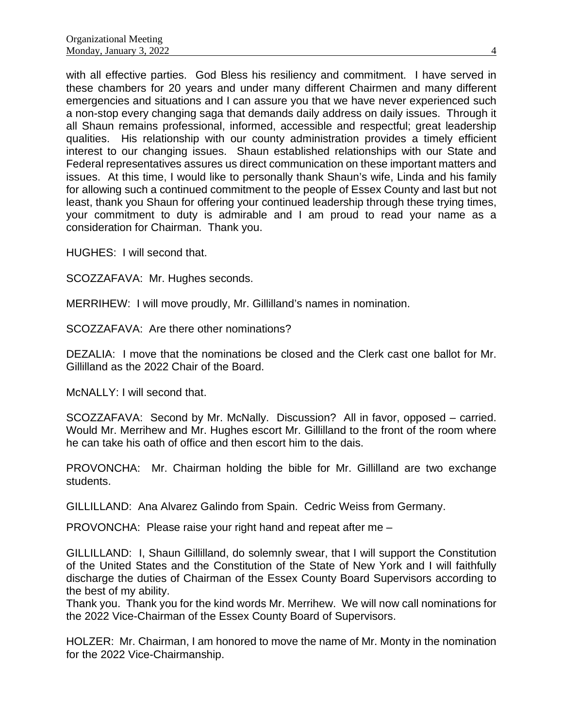with all effective parties. God Bless his resiliency and commitment. I have served in these chambers for 20 years and under many different Chairmen and many different emergencies and situations and I can assure you that we have never experienced such a non-stop every changing saga that demands daily address on daily issues. Through it all Shaun remains professional, informed, accessible and respectful; great leadership qualities. His relationship with our county administration provides a timely efficient interest to our changing issues. Shaun established relationships with our State and Federal representatives assures us direct communication on these important matters and issues. At this time, I would like to personally thank Shaun's wife, Linda and his family for allowing such a continued commitment to the people of Essex County and last but not least, thank you Shaun for offering your continued leadership through these trying times, your commitment to duty is admirable and I am proud to read your name as a consideration for Chairman. Thank you.

HUGHES: I will second that.

SCOZZAFAVA: Mr. Hughes seconds.

MERRIHEW: I will move proudly, Mr. Gillilland's names in nomination.

SCOZZAFAVA: Are there other nominations?

DEZALIA: I move that the nominations be closed and the Clerk cast one ballot for Mr. Gillilland as the 2022 Chair of the Board.

McNALLY: I will second that.

SCOZZAFAVA: Second by Mr. McNally. Discussion? All in favor, opposed – carried. Would Mr. Merrihew and Mr. Hughes escort Mr. Gillilland to the front of the room where he can take his oath of office and then escort him to the dais.

PROVONCHA: Mr. Chairman holding the bible for Mr. Gillilland are two exchange students.

GILLILLAND: Ana Alvarez Galindo from Spain. Cedric Weiss from Germany.

PROVONCHA: Please raise your right hand and repeat after me –

GILLILLAND: I, Shaun Gillilland, do solemnly swear, that I will support the Constitution of the United States and the Constitution of the State of New York and I will faithfully discharge the duties of Chairman of the Essex County Board Supervisors according to the best of my ability.

Thank you. Thank you for the kind words Mr. Merrihew. We will now call nominations for the 2022 Vice-Chairman of the Essex County Board of Supervisors.

HOLZER: Mr. Chairman, I am honored to move the name of Mr. Monty in the nomination for the 2022 Vice-Chairmanship.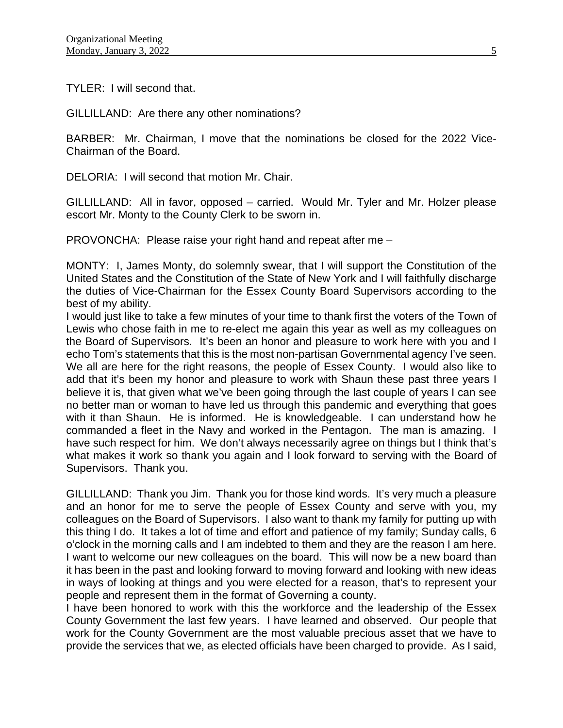TYLER: I will second that.

GILLILLAND: Are there any other nominations?

BARBER: Mr. Chairman, I move that the nominations be closed for the 2022 Vice-Chairman of the Board.

DELORIA: I will second that motion Mr. Chair.

GILLILLAND: All in favor, opposed – carried. Would Mr. Tyler and Mr. Holzer please escort Mr. Monty to the County Clerk to be sworn in.

PROVONCHA: Please raise your right hand and repeat after me –

MONTY: I, James Monty, do solemnly swear, that I will support the Constitution of the United States and the Constitution of the State of New York and I will faithfully discharge the duties of Vice-Chairman for the Essex County Board Supervisors according to the best of my ability.

I would just like to take a few minutes of your time to thank first the voters of the Town of Lewis who chose faith in me to re-elect me again this year as well as my colleagues on the Board of Supervisors. It's been an honor and pleasure to work here with you and I echo Tom's statements that this is the most non-partisan Governmental agency I've seen. We all are here for the right reasons, the people of Essex County. I would also like to add that it's been my honor and pleasure to work with Shaun these past three years I believe it is, that given what we've been going through the last couple of years I can see no better man or woman to have led us through this pandemic and everything that goes with it than Shaun. He is informed. He is knowledgeable. I can understand how he commanded a fleet in the Navy and worked in the Pentagon. The man is amazing. I have such respect for him. We don't always necessarily agree on things but I think that's what makes it work so thank you again and I look forward to serving with the Board of Supervisors. Thank you.

GILLILLAND: Thank you Jim. Thank you for those kind words. It's very much a pleasure and an honor for me to serve the people of Essex County and serve with you, my colleagues on the Board of Supervisors. I also want to thank my family for putting up with this thing I do. It takes a lot of time and effort and patience of my family; Sunday calls, 6 o'clock in the morning calls and I am indebted to them and they are the reason I am here. I want to welcome our new colleagues on the board. This will now be a new board than it has been in the past and looking forward to moving forward and looking with new ideas in ways of looking at things and you were elected for a reason, that's to represent your people and represent them in the format of Governing a county.

I have been honored to work with this the workforce and the leadership of the Essex County Government the last few years. I have learned and observed. Our people that work for the County Government are the most valuable precious asset that we have to provide the services that we, as elected officials have been charged to provide. As I said,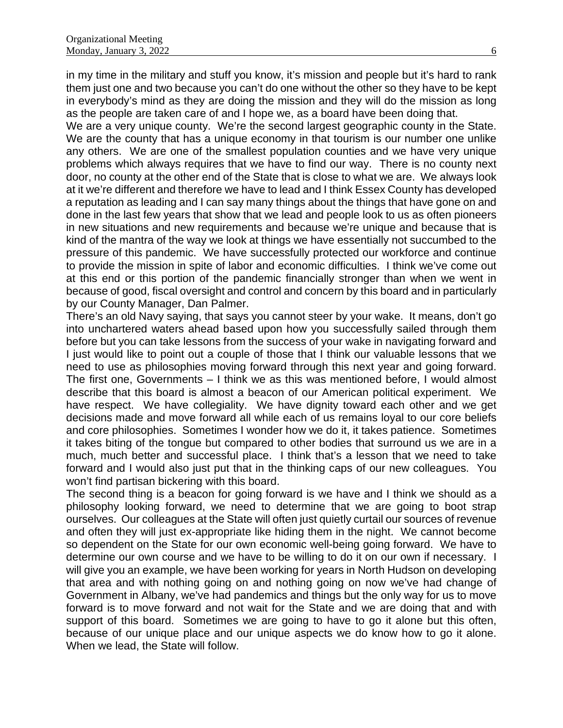in my time in the military and stuff you know, it's mission and people but it's hard to rank them just one and two because you can't do one without the other so they have to be kept in everybody's mind as they are doing the mission and they will do the mission as long as the people are taken care of and I hope we, as a board have been doing that.

We are a very unique county. We're the second largest geographic county in the State. We are the county that has a unique economy in that tourism is our number one unlike any others. We are one of the smallest population counties and we have very unique problems which always requires that we have to find our way. There is no county next door, no county at the other end of the State that is close to what we are. We always look at it we're different and therefore we have to lead and I think Essex County has developed a reputation as leading and I can say many things about the things that have gone on and done in the last few years that show that we lead and people look to us as often pioneers in new situations and new requirements and because we're unique and because that is kind of the mantra of the way we look at things we have essentially not succumbed to the pressure of this pandemic. We have successfully protected our workforce and continue to provide the mission in spite of labor and economic difficulties. I think we've come out at this end or this portion of the pandemic financially stronger than when we went in because of good, fiscal oversight and control and concern by this board and in particularly by our County Manager, Dan Palmer.

There's an old Navy saying, that says you cannot steer by your wake. It means, don't go into unchartered waters ahead based upon how you successfully sailed through them before but you can take lessons from the success of your wake in navigating forward and I just would like to point out a couple of those that I think our valuable lessons that we need to use as philosophies moving forward through this next year and going forward. The first one, Governments – I think we as this was mentioned before, I would almost describe that this board is almost a beacon of our American political experiment. We have respect. We have collegiality. We have dignity toward each other and we get decisions made and move forward all while each of us remains loyal to our core beliefs and core philosophies. Sometimes I wonder how we do it, it takes patience. Sometimes it takes biting of the tongue but compared to other bodies that surround us we are in a much, much better and successful place. I think that's a lesson that we need to take forward and I would also just put that in the thinking caps of our new colleagues. You won't find partisan bickering with this board.

The second thing is a beacon for going forward is we have and I think we should as a philosophy looking forward, we need to determine that we are going to boot strap ourselves. Our colleagues at the State will often just quietly curtail our sources of revenue and often they will just ex-appropriate like hiding them in the night. We cannot become so dependent on the State for our own economic well-being going forward. We have to determine our own course and we have to be willing to do it on our own if necessary. I will give you an example, we have been working for years in North Hudson on developing that area and with nothing going on and nothing going on now we've had change of Government in Albany, we've had pandemics and things but the only way for us to move forward is to move forward and not wait for the State and we are doing that and with support of this board. Sometimes we are going to have to go it alone but this often, because of our unique place and our unique aspects we do know how to go it alone. When we lead, the State will follow.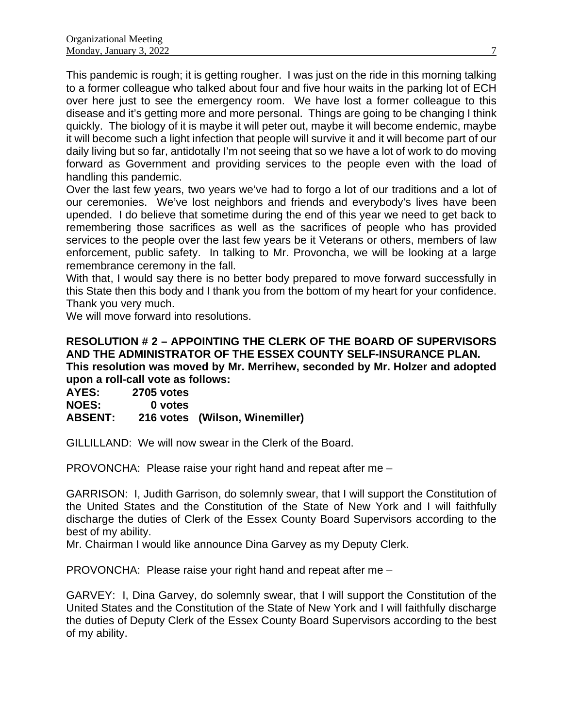This pandemic is rough; it is getting rougher. I was just on the ride in this morning talking to a former colleague who talked about four and five hour waits in the parking lot of ECH over here just to see the emergency room. We have lost a former colleague to this disease and it's getting more and more personal. Things are going to be changing I think quickly. The biology of it is maybe it will peter out, maybe it will become endemic, maybe it will become such a light infection that people will survive it and it will become part of our daily living but so far, antidotally I'm not seeing that so we have a lot of work to do moving forward as Government and providing services to the people even with the load of handling this pandemic.

Over the last few years, two years we've had to forgo a lot of our traditions and a lot of our ceremonies. We've lost neighbors and friends and everybody's lives have been upended. I do believe that sometime during the end of this year we need to get back to remembering those sacrifices as well as the sacrifices of people who has provided services to the people over the last few years be it Veterans or others, members of law enforcement, public safety. In talking to Mr. Provoncha, we will be looking at a large remembrance ceremony in the fall.

With that, I would say there is no better body prepared to move forward successfully in this State then this body and I thank you from the bottom of my heart for your confidence. Thank you very much.

We will move forward into resolutions.

#### **RESOLUTION # 2 – APPOINTING THE CLERK OF THE BOARD OF SUPERVISORS AND THE ADMINISTRATOR OF THE ESSEX COUNTY SELF-INSURANCE PLAN. This resolution was moved by Mr. Merrihew, seconded by Mr. Holzer and adopted upon a roll-call vote as follows:**

**AYES: 2705 votes NOES: 0 votes**

# **ABSENT: 216 votes (Wilson, Winemiller)**

GILLILLAND: We will now swear in the Clerk of the Board.

PROVONCHA: Please raise your right hand and repeat after me –

GARRISON: I, Judith Garrison, do solemnly swear, that I will support the Constitution of the United States and the Constitution of the State of New York and I will faithfully discharge the duties of Clerk of the Essex County Board Supervisors according to the best of my ability.

Mr. Chairman I would like announce Dina Garvey as my Deputy Clerk.

PROVONCHA: Please raise your right hand and repeat after me –

GARVEY: I, Dina Garvey, do solemnly swear, that I will support the Constitution of the United States and the Constitution of the State of New York and I will faithfully discharge the duties of Deputy Clerk of the Essex County Board Supervisors according to the best of my ability.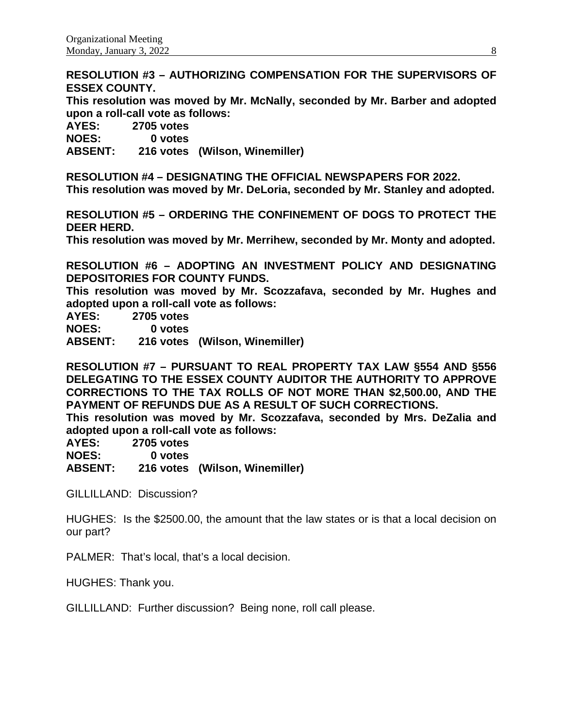**RESOLUTION #3 – AUTHORIZING COMPENSATION FOR THE SUPERVISORS OF ESSEX COUNTY.**

**This resolution was moved by Mr. McNally, seconded by Mr. Barber and adopted upon a roll-call vote as follows:** 

**AYES: 2705 votes**

**NOES: 0 votes**

**ABSENT: 216 votes (Wilson, Winemiller)**

**RESOLUTION #4 – DESIGNATING THE OFFICIAL NEWSPAPERS FOR 2022. This resolution was moved by Mr. DeLoria, seconded by Mr. Stanley and adopted.**

**RESOLUTION #5 – ORDERING THE CONFINEMENT OF DOGS TO PROTECT THE DEER HERD.**

**This resolution was moved by Mr. Merrihew, seconded by Mr. Monty and adopted.**

**RESOLUTION #6 – ADOPTING AN INVESTMENT POLICY AND DESIGNATING DEPOSITORIES FOR COUNTY FUNDS.**

**This resolution was moved by Mr. Scozzafava, seconded by Mr. Hughes and adopted upon a roll-call vote as follows:** 

**AYES: 2705 votes NOES: 0 votes**

**ABSENT: 216 votes (Wilson, Winemiller)**

**RESOLUTION #7 – PURSUANT TO REAL PROPERTY TAX LAW §554 AND §556 DELEGATING TO THE ESSEX COUNTY AUDITOR THE AUTHORITY TO APPROVE CORRECTIONS TO THE TAX ROLLS OF NOT MORE THAN \$2,500.00, AND THE PAYMENT OF REFUNDS DUE AS A RESULT OF SUCH CORRECTIONS.**

**This resolution was moved by Mr. Scozzafava, seconded by Mrs. DeZalia and adopted upon a roll-call vote as follows:** 

**AYES: 2705 votes** 0 votes

**ABSENT: 216 votes (Wilson, Winemiller)**

GILLILLAND: Discussion?

HUGHES: Is the \$2500.00, the amount that the law states or is that a local decision on our part?

PALMER: That's local, that's a local decision.

HUGHES: Thank you.

GILLILLAND: Further discussion? Being none, roll call please.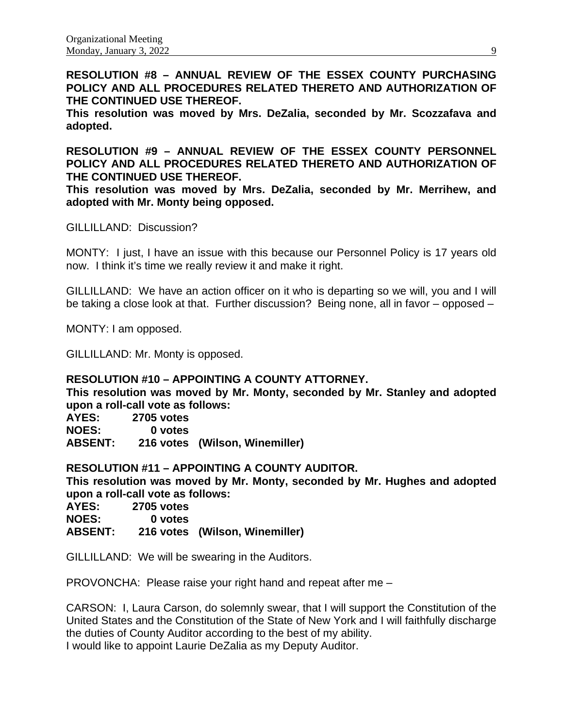**RESOLUTION #8 – ANNUAL REVIEW OF THE ESSEX COUNTY PURCHASING POLICY AND ALL PROCEDURES RELATED THERETO AND AUTHORIZATION OF THE CONTINUED USE THEREOF.**

**This resolution was moved by Mrs. DeZalia, seconded by Mr. Scozzafava and adopted.**

**RESOLUTION #9 – ANNUAL REVIEW OF THE ESSEX COUNTY PERSONNEL POLICY AND ALL PROCEDURES RELATED THERETO AND AUTHORIZATION OF THE CONTINUED USE THEREOF.**

**This resolution was moved by Mrs. DeZalia, seconded by Mr. Merrihew, and adopted with Mr. Monty being opposed.**

GILLILLAND: Discussion?

MONTY: I just, I have an issue with this because our Personnel Policy is 17 years old now. I think it's time we really review it and make it right.

GILLILLAND: We have an action officer on it who is departing so we will, you and I will be taking a close look at that. Further discussion? Being none, all in favor – opposed –

MONTY: I am opposed.

GILLILLAND: Mr. Monty is opposed.

#### **RESOLUTION #10 – APPOINTING A COUNTY ATTORNEY.**

**This resolution was moved by Mr. Monty, seconded by Mr. Stanley and adopted upon a roll-call vote as follows:** 

**AYES: 2705 votes NOES: 0 votes**

**ABSENT: 216 votes (Wilson, Winemiller)**

**RESOLUTION #11 – APPOINTING A COUNTY AUDITOR.**

**This resolution was moved by Mr. Monty, seconded by Mr. Hughes and adopted upon a roll-call vote as follows:** 

**AYES: 2705 votes**

**NOES: 0 votes**

**ABSENT: 216 votes (Wilson, Winemiller)**

GILLILLAND: We will be swearing in the Auditors.

PROVONCHA: Please raise your right hand and repeat after me –

CARSON: I, Laura Carson, do solemnly swear, that I will support the Constitution of the United States and the Constitution of the State of New York and I will faithfully discharge the duties of County Auditor according to the best of my ability. I would like to appoint Laurie DeZalia as my Deputy Auditor.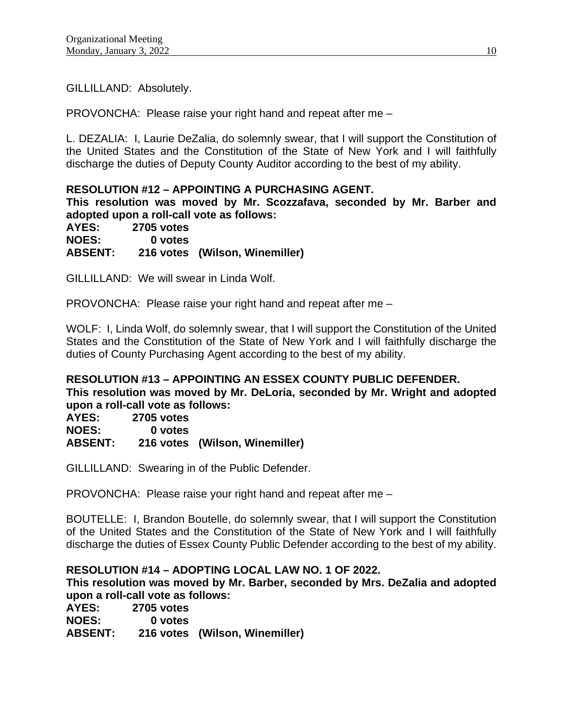GILLILLAND: Absolutely.

PROVONCHA: Please raise your right hand and repeat after me –

L. DEZALIA: I, Laurie DeZalia, do solemnly swear, that I will support the Constitution of the United States and the Constitution of the State of New York and I will faithfully discharge the duties of Deputy County Auditor according to the best of my ability.

# **RESOLUTION #12 – APPOINTING A PURCHASING AGENT.**

**This resolution was moved by Mr. Scozzafava, seconded by Mr. Barber and adopted upon a roll-call vote as follows:** 

**AYES: 2705 votes NOES: 0 votes ABSENT: 216 votes (Wilson, Winemiller)**

GILLILLAND: We will swear in Linda Wolf.

PROVONCHA: Please raise your right hand and repeat after me –

WOLF: I, Linda Wolf, do solemnly swear, that I will support the Constitution of the United States and the Constitution of the State of New York and I will faithfully discharge the duties of County Purchasing Agent according to the best of my ability.

# **RESOLUTION #13 – APPOINTING AN ESSEX COUNTY PUBLIC DEFENDER. This resolution was moved by Mr. DeLoria, seconded by Mr. Wright and adopted**

**upon a roll-call vote as follows: AYES: 2705 votes NOES: 0 votes ABSENT: 216 votes (Wilson, Winemiller)**

GILLILLAND: Swearing in of the Public Defender.

PROVONCHA: Please raise your right hand and repeat after me –

BOUTELLE: I, Brandon Boutelle, do solemnly swear, that I will support the Constitution of the United States and the Constitution of the State of New York and I will faithfully discharge the duties of Essex County Public Defender according to the best of my ability.

# **RESOLUTION #14 – ADOPTING LOCAL LAW NO. 1 OF 2022.**

**This resolution was moved by Mr. Barber, seconded by Mrs. DeZalia and adopted upon a roll-call vote as follows:** 

| AYES:          | <b>2705 votes</b> |                                |
|----------------|-------------------|--------------------------------|
| <b>NOES:</b>   | 0 votes           |                                |
| <b>ABSENT:</b> |                   | 216 votes (Wilson, Winemiller) |